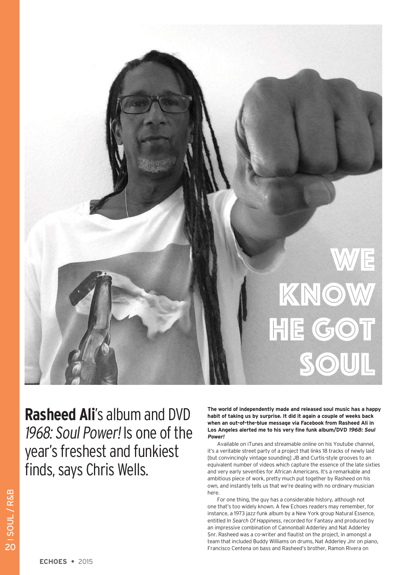

**Rasheed Ali**'s album and DVD 1968: Soul Power! Is one of the year's freshest and funkiest finds, says Chris Wells.

**The world of independently made and released soul music has a happy habit of taking us by surprise. It did it again a couple of weeks back when an out-of-the-blue message via Facebook from Rasheed Ali in Los Angeles alerted me to his very fine funk album/DVD 1968: Soul Power!**

Available on iTunes and streamable online on his Youtube channel, it's a veritable street party of a project that links 18 tracks of newly laid [but convincingly vintage sounding] JB and Curtis-style grooves to an equivalent number of videos which capture the essence of the late sixties and very early seventies for African Americans. It's a remarkable and ambitious piece of work, pretty much put together by Rasheed on his own, and instantly tells us that we're dealing with no ordinary musician here.

For one thing, the guy has a considerable history, although not one that's too widely known. A few Echoes readers may remember, for instance, a 1973 jazz-funk album by a New York group Natural Essence, entitled *In Search Of Happiness*, recorded for Fantasy and produced by an impressive combination of Cannonball Adderley and Nat Adderley Snr. Rasheed was a co-writer and flautist on the project, in amongst a team that included Buddy Williams on drums, Nat Adderley Jnr on piano, Francisco Centena on bass and Rasheed's brother, Ramon Rivera on